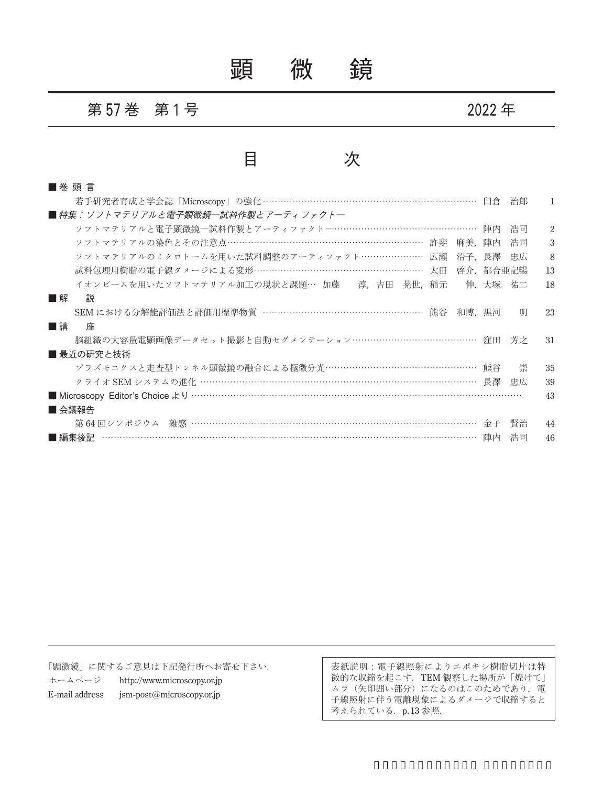# 顕 微 鏡

#### 第 **57** 巻 第 **1** 号 **2022** 年

#### 目 次

| ■ 巻 頭 言                                                |         |    |                |
|--------------------------------------------------------|---------|----|----------------|
| 若手研究者育成と学会誌「Microscopy」の強化 ……………………………………………………………… 臼倉 |         | 治郎 | 1.             |
| ■ 特集:ソフトマテリアルと電子顕微鏡―試料作製とアーティファクト―                     |         |    |                |
| ソフトマテリアルと電子顕微鏡―試料作製とアーティファクト―………………………………………… 陣内       |         | 浩司 | $\overline{2}$ |
| ソフトマテリアルの染色とその注意点………………………………………………………… 許斐<br>麻美.陣内    |         | 浩司 | 3              |
| ソフトマテリアルのミクロトームを用いた試料調整のアーティファクト………………… 広瀬<br>治子,長澤    |         | 忠広 | 8              |
| 試料包埋用樹脂の電子線ダメージによる変形………………………………………………… 太田<br>啓介,都合亜記暢 |         |    | 13             |
| イオンビームを用いたソフトマテリアル加工の現状と課題… 加藤 淳,吉田 晃世,稲元              | 伸,大塚 祐二 |    | 18             |
| 説<br>■解                                                |         |    |                |
| SEM における分解能評価法と評価用標準物質 ……………………………………………… 熊谷<br>和博,黒河  |         | 明  | 23             |
| ■講<br>座                                                |         |    |                |
| 脳組織の大容量電顕画像データセット撮影と自動セグメンテーション…………………………………… 窪田       |         | 芳之 | -31            |
| ■ 最近の研究と技術                                             |         |    |                |
| プラズモニクスと走査型トンネル顕微鏡の融合による極微分光…………………………………………… 熊谷       |         | 崇  | 35             |
|                                                        |         | 忠広 | 39             |
|                                                        |         |    | 43             |
| ■ 会議報告                                                 |         |    |                |
| 第64回シンポジウム 雑感 …………………………………………………………………………………… 金子      |         | 賢治 | 44             |
| ………………………………………………………………………………… 陣内<br>■ 編集後記           |         | 浩司 | 46             |

「顕微鏡」に関するご意見は下記発行所へお寄せ下さい. ホームページ http://www.microscopy.or.jp E-mail address jsm-post@microscopy.or.jp

表紙説明:電子線照射によりエポキシ樹脂切片は特 徴的な収縮を起こす.TEM 観察した場所が「焼けて」 ムラ(矢印囲い部分)になるのはこのためであり,電 子線照射に伴う電離現象によるダメージで収縮すると 考えられている. p.13 参照.